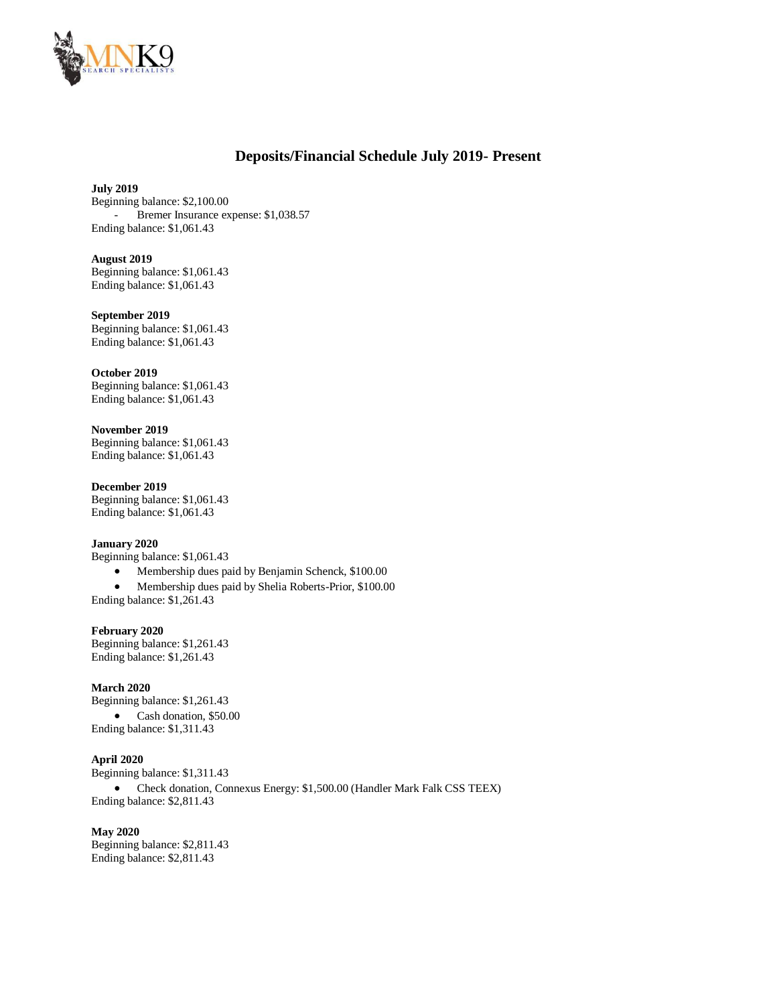

# **Deposits/Financial Schedule July 2019- Present**

### **July 2019**

Beginning balance: \$2,100.00 Bremer Insurance expense: \$1,038.57 Ending balance: \$1,061.43

## **August 2019**

Beginning balance: \$1,061.43 Ending balance: \$1,061.43

### **September 2019**

Beginning balance: \$1,061.43 Ending balance: \$1,061.43

#### **October 2019**

Beginning balance: \$1,061.43 Ending balance: \$1,061.43

### **November 2019**

Beginning balance: \$1,061.43 Ending balance: \$1,061.43

#### **December 2019**

Beginning balance: \$1,061.43 Ending balance: \$1,061.43

## **January 2020**

Beginning balance: \$1,061.43

- Membership dues paid by Benjamin Schenck, \$100.00
- Membership dues paid by Shelia Roberts-Prior, \$100.00

Ending balance: \$1,261.43

### **February 2020**

Beginning balance: \$1,261.43 Ending balance: \$1,261.43

### **March 2020**

Beginning balance: \$1,261.43 Cash donation, \$50.00 Ending balance: \$1,311.43

### **April 2020**

Beginning balance: \$1,311.43 Check donation, Connexus Energy: \$1,500.00 (Handler Mark Falk CSS TEEX) Ending balance: \$2,811.43

#### **May 2020**

Beginning balance: \$2,811.43 Ending balance: \$2,811.43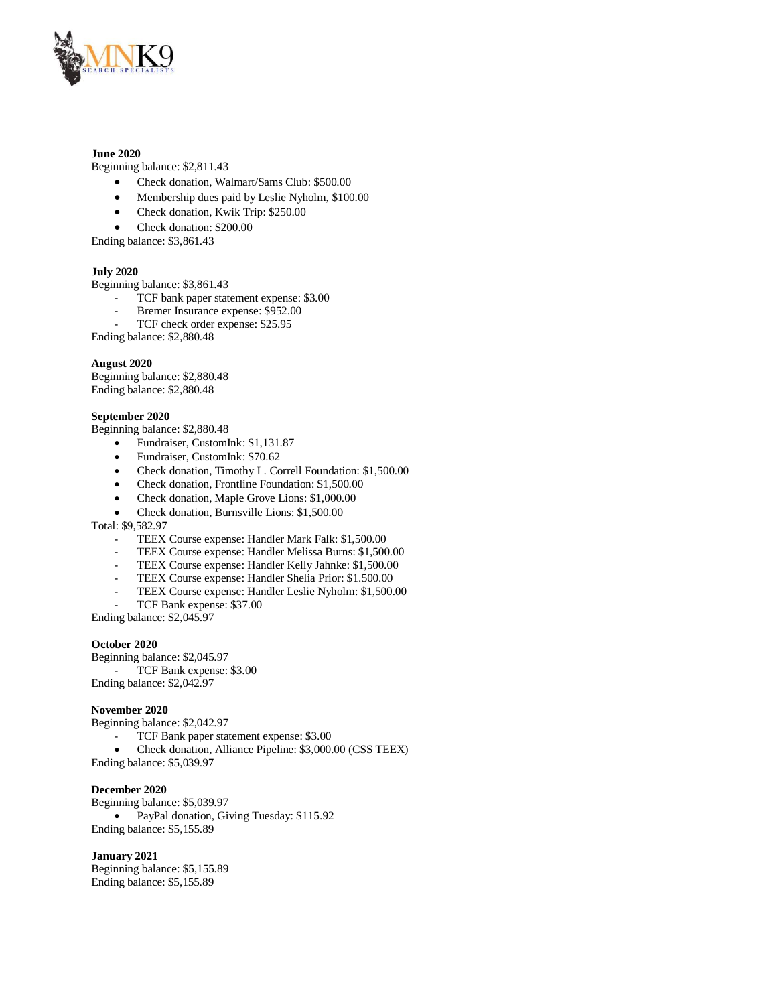

### **June 2020**

Beginning balance: \$2,811.43

- Check donation, Walmart/Sams Club: \$500.00
- Membership dues paid by Leslie Nyholm, \$100.00
- Check donation, Kwik Trip: \$250.00
- Check donation: \$200.00
- Ending balance: \$3,861.43

### **July 2020**

Beginning balance: \$3,861.43

- TCF bank paper statement expense: \$3.00
- Bremer Insurance expense: \$952.00
- TCF check order expense: \$25.95

Ending balance: \$2,880.48

### **August 2020**

Beginning balance: \$2,880.48 Ending balance: \$2,880.48

### **September 2020**

Beginning balance: \$2,880.48

- Fundraiser, CustomInk: \$1,131.87
- Fundraiser, CustomInk: \$70.62
- Check donation, Timothy L. Correll Foundation: \$1,500.00
- Check donation, Frontline Foundation: \$1,500.00
- Check donation, Maple Grove Lions: \$1,000.00
- Check donation, Burnsville Lions: \$1,500.00

Total: \$9,582.97

- TEEX Course expense: Handler Mark Falk: \$1,500.00
- TEEX Course expense: Handler Melissa Burns: \$1,500.00
- TEEX Course expense: Handler Kelly Jahnke: \$1,500.00
- TEEX Course expense: Handler Shelia Prior: \$1.500.00
- TEEX Course expense: Handler Leslie Nyholm: \$1,500.00
- TCF Bank expense: \$37.00

Ending balance: \$2,045.97

#### **October 2020**

Beginning balance: \$2,045.97 - TCF Bank expense: \$3.00 Ending balance: \$2,042.97

#### **November 2020**

Beginning balance: \$2,042.97

- TCF Bank paper statement expense: \$3.00
- Check donation, Alliance Pipeline: \$3,000.00 (CSS TEEX)

Ending balance: \$5,039.97

#### **December 2020**

Beginning balance: \$5,039.97 PayPal donation, Giving Tuesday: \$115.92 Ending balance: \$5,155.89

### **January 2021**

Beginning balance: \$5,155.89 Ending balance: \$5,155.89